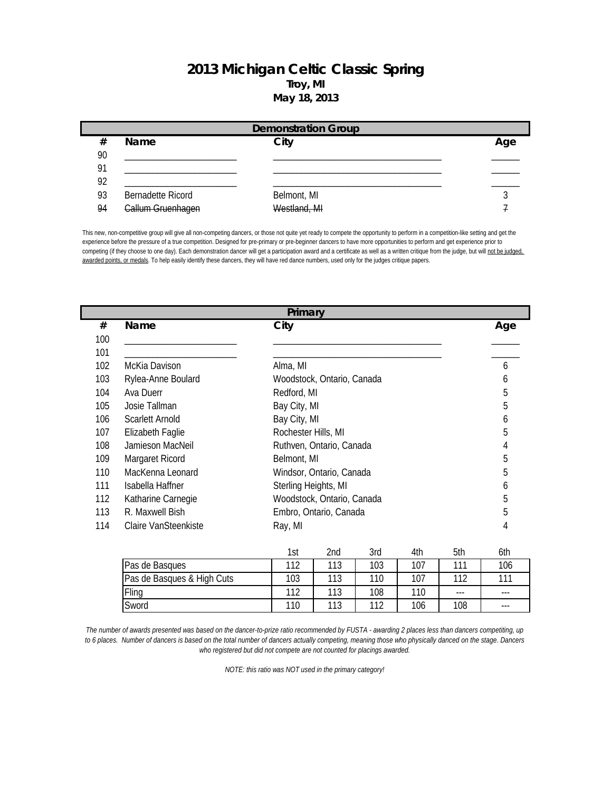## **2013 Michigan Celtic Classic Spring Troy, MI May 18, 2013**

|    | <b>Demonstration Group</b> |              |     |  |  |
|----|----------------------------|--------------|-----|--|--|
| #  | <b>Name</b>                | City         | Age |  |  |
| 90 |                            |              |     |  |  |
| 91 |                            |              |     |  |  |
| 92 |                            |              |     |  |  |
| 93 | <b>Bernadette Ricord</b>   | Belmont, MI  |     |  |  |
| 94 | <b>Callum Gruenhagen</b>   | Westland, MI |     |  |  |

This new, non-competitive group will give all non-competing dancers, or those not quite yet ready to compete the opportunity to perform in a competition-like setting and get the experience before the pressure of a true competition. Designed for pre-primary or pre-beginner dancers to have more opportunities to perform and get experience prior to competing (if they choose to one day). Each demonstration dancer will get a participation award and a certificate as well as a written critique from the judge, but will not be judged, awarded points, or medals. To help easily identify these dancers, they will have red dance numbers, used only for the judges critique papers.

|     | Primary              |                            |     |  |
|-----|----------------------|----------------------------|-----|--|
| #   | Name                 | City                       | Age |  |
| 100 |                      |                            |     |  |
| 101 |                      |                            |     |  |
| 102 | McKia Davison        | Alma, MI                   | 6   |  |
| 103 | Rylea-Anne Boulard   | Woodstock, Ontario, Canada | 6   |  |
| 104 | Ava Duerr            | Redford, MI                | 5   |  |
| 105 | Josie Tallman        | Bay City, MI               | 5   |  |
| 106 | Scarlett Arnold      | Bay City, MI               | 6   |  |
| 107 | Elizabeth Faglie     | Rochester Hills, MI        | 5   |  |
| 108 | Jamieson MacNeil     | Ruthven, Ontario, Canada   | 4   |  |
| 109 | Margaret Ricord      | Belmont, MI                | 5   |  |
| 110 | MacKenna Leonard     | Windsor, Ontario, Canada   | 5   |  |
| 111 | Isabella Haffner     | Sterling Heights, MI       | 6   |  |
| 112 | Katharine Carnegie   | Woodstock, Ontario, Canada | 5   |  |
| 113 | R. Maxwell Bish      | Embro, Ontario, Canada     | 5   |  |
| 114 | Claire VanSteenkiste | Ray, MI                    | 4   |  |
|     |                      |                            |     |  |

|                            | 1st  | 2nd | 3rd | 4th | 5th     | 6th |
|----------------------------|------|-----|-----|-----|---------|-----|
| Pas de Basques             | 11 2 | 113 | 103 | 107 | 111     | 106 |
| Pas de Basques & High Cuts | 103  | 113 | 110 | 107 | 112     | 111 |
| Fling                      | 112  | 113 | 108 | 110 | $- - -$ | --- |
| Sword                      | 110  | 113 | 110 | 106 | 108     | --- |

*The number of awards presented was based on the dancer-to-prize ratio recommended by FUSTA - awarding 2 places less than dancers competiting, up to 6 places. Number of dancers is based on the total number of dancers actually competing, meaning those who physically danced on the stage. Dancers who registered but did not compete are not counted for placings awarded.*

*NOTE: this ratio was NOT used in the primary category!*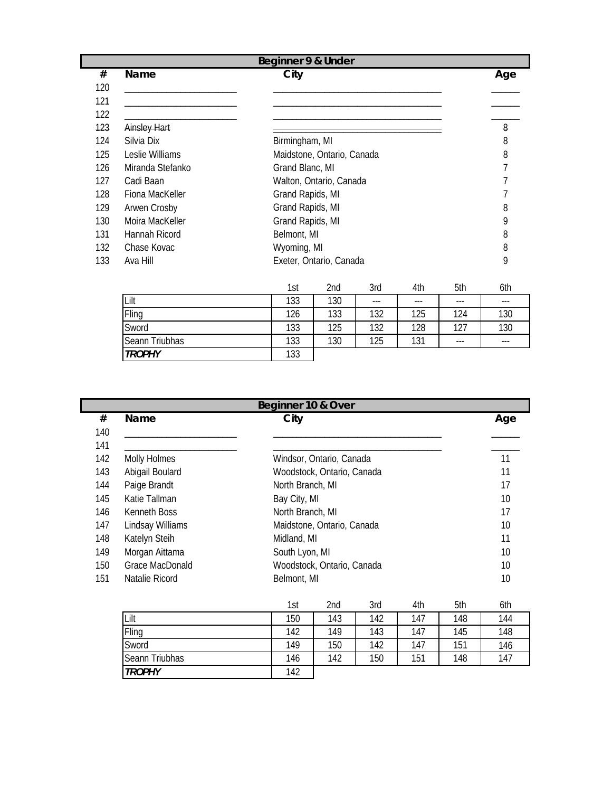|     | Beginner 9 & Under |                                        |                  |                            |       |     |     |         |
|-----|--------------------|----------------------------------------|------------------|----------------------------|-------|-----|-----|---------|
| #   | Name               |                                        | City             |                            |       |     |     | Age     |
| 120 |                    |                                        |                  |                            |       |     |     |         |
| 121 |                    |                                        |                  |                            |       |     |     |         |
| 122 |                    |                                        |                  |                            |       |     |     |         |
| 123 | Ainsley Hart       |                                        |                  |                            |       |     |     | 8       |
| 124 | Silvia Dix         |                                        | Birmingham, MI   |                            |       |     |     | 8       |
| 125 | Leslie Williams    |                                        |                  | Maidstone, Ontario, Canada |       |     |     | 8       |
| 126 | Miranda Stefanko   |                                        | Grand Blanc, MI  |                            |       |     |     | 7       |
| 127 | Cadi Baan          |                                        |                  | Walton, Ontario, Canada    |       |     |     |         |
| 128 | Fiona MacKeller    |                                        | Grand Rapids, MI |                            |       |     |     |         |
| 129 | Arwen Crosby       |                                        | Grand Rapids, MI |                            |       |     |     | 8       |
| 130 | Moira MacKeller    |                                        | Grand Rapids, MI |                            |       |     |     | 9       |
| 131 | Hannah Ricord      |                                        | Belmont, MI      |                            |       |     |     | 8       |
| 132 | Chase Kovac        |                                        | Wyoming, MI      |                            |       |     |     | 8       |
| 133 | Ava Hill           |                                        |                  | Exeter, Ontario, Canada    |       |     |     | 9       |
|     |                    |                                        | 1st              | 2nd                        | 3rd   | 4th | 5th | 6th     |
|     | Lilt               |                                        | 133              | 130                        | $---$ | --- | --- | $- - -$ |
|     | Fling              | 126<br>133<br>132<br>124<br>130<br>125 |                  |                            |       |     |     |         |

| iliit             | . ئ | . 30 | $- - -$ | ---         | $- - -$ | --- |
|-------------------|-----|------|---------|-------------|---------|-----|
| Fling             | 126 | 133  | 132     | 125         | 124     | 130 |
| Sword             | 133 | 125  | 132     | 128         | 107     | 130 |
| Triubhas<br>Seann | 133 | 130  | 125     | 121<br>ו טו | $- - -$ | --- |
| <b>TROPHY</b>     | 133 |      |         |             |         |     |

| Beginner 10 & Over |                     |                            |     |
|--------------------|---------------------|----------------------------|-----|
| #                  | <b>Name</b>         | City                       | Age |
| 140                |                     |                            |     |
| 141                |                     |                            |     |
| 142                | <b>Molly Holmes</b> | Windsor, Ontario, Canada   | 11  |
| 143                | Abigail Boulard     | Woodstock, Ontario, Canada | 11  |
| 144                | Paige Brandt        | North Branch, MI           | 17  |
| 145                | Katie Tallman       | Bay City, MI               | 10  |
| 146                | Kenneth Boss        | North Branch, MI           | 17  |
| 147                | Lindsay Williams    | Maidstone, Ontario, Canada | 10  |
| 148                | Katelyn Steih       | Midland, MI                | 11  |
| 149                | Morgan Aittama      | South Lyon, MI             | 10  |
| 150                | Grace MacDonald     | Woodstock, Ontario, Canada | 10  |
| 151                | Natalie Ricord      | Belmont, MI                | 10  |
|                    |                     |                            |     |

|                | 1st | 2nd | 3rd | 4th | 5th | 6th |
|----------------|-----|-----|-----|-----|-----|-----|
| Lilt           | 150 | 143 | 142 | 147 | 148 | 144 |
| Fling          | 142 | 149 | 143 | 147 | 145 | 148 |
| Sword          | 149 | 150 | 142 | 147 | 151 | 146 |
| Seann Triubhas | 146 | 142 | 150 | 151 | 148 | 147 |
| <b>TROPHY</b>  | 142 |     |     |     |     |     |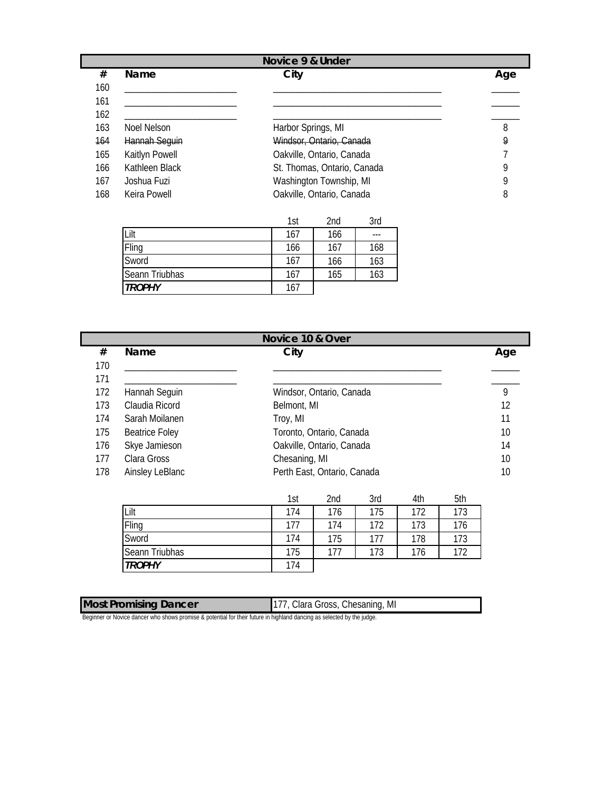|        | Novice 9 & Under |                             |     |  |
|--------|------------------|-----------------------------|-----|--|
| #      | <b>Name</b>      | City                        | Age |  |
| 160    |                  |                             |     |  |
| 161    |                  |                             |     |  |
| 162    |                  |                             |     |  |
| 163    | Noel Nelson      | Harbor Springs, MI          | 8   |  |
| $-164$ | Hannah Seguin    | Windsor, Ontario, Canada    | 9   |  |
| 165    | Kaitlyn Powell   | Oakville, Ontario, Canada   |     |  |
| 166    | Kathleen Black   | St. Thomas, Ontario, Canada | Q   |  |
| 167    | Joshua Fuzi      | Washington Township, MI     | Q   |  |
| 168    | Keira Powell     | Oakville, Ontario, Canada   | 8   |  |

|                | 1st | 2nd | 3rd |
|----------------|-----|-----|-----|
| Lilt           | 167 | 166 | --- |
| Fling          | 166 | 167 | 168 |
| Sword          | 167 | 166 | 163 |
| Seann Triubhas | 167 | 165 | 163 |
| <b>TROPHY</b>  | 167 |     |     |

|     | Novice 10 & Over      |                             |     |  |
|-----|-----------------------|-----------------------------|-----|--|
| #   | Name                  | City                        | Age |  |
| 170 |                       |                             |     |  |
| 171 |                       |                             |     |  |
| 172 | Hannah Seguin         | Windsor, Ontario, Canada    | 9   |  |
| 173 | Claudia Ricord        | Belmont, MI                 | 12  |  |
| 174 | Sarah Moilanen        | Troy, MI                    | 11  |  |
| 175 | <b>Beatrice Foley</b> | Toronto, Ontario, Canada    | 10  |  |
| 176 | Skye Jamieson         | Oakville, Ontario, Canada   | 14  |  |
| 177 | Clara Gross           | Chesaning, MI               | 10  |  |
| 178 | Ainsley LeBlanc       | Perth East, Ontario, Canada | 10  |  |

|                | 1st | 2nd | 3rd | 4th | 5th |
|----------------|-----|-----|-----|-----|-----|
| Lilt           | 174 | 176 | 175 | 172 | 173 |
| Fling          | 177 | 174 | 172 | 173 | 176 |
| Sword          | 174 | 175 | 177 | 178 | 173 |
| Seann Triubhas | 175 | 177 | 173 | 176 | 172 |
| <b>TROPHY</b>  | 174 |     |     |     |     |

| <b>Most Promising Dancer</b> | 177, Clara Gross, Chesaning, MI |
|------------------------------|---------------------------------|
|                              |                                 |

Beginner or Novice dancer who shows promise & potential for their future in highland dancing as selected by the judge.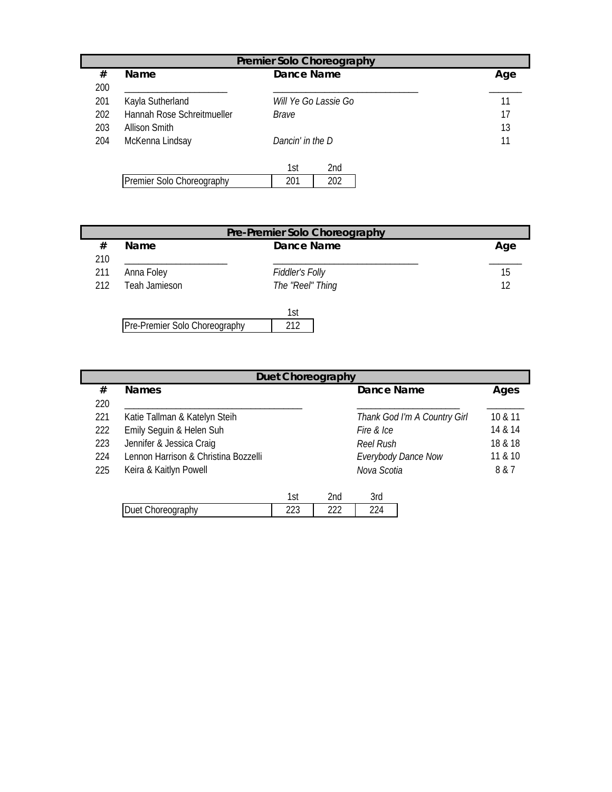|     | <b>Premier Solo Choreography</b> |                  |                             |  |     |  |
|-----|----------------------------------|------------------|-----------------------------|--|-----|--|
| #   | Name                             | Dance Name       |                             |  | Age |  |
| 200 |                                  |                  |                             |  |     |  |
| 201 | Kayla Sutherland                 |                  | <i>Will Ye Go Lassie Go</i> |  | 11  |  |
| 202 | Hannah Rose Schreitmueller       | Brave            |                             |  | 17  |  |
| 203 | Allison Smith                    |                  |                             |  | 13  |  |
| 204 | McKenna Lindsay                  | Dancin' in the D |                             |  | 11  |  |
|     |                                  |                  |                             |  |     |  |
|     |                                  | 1st              | 2 <sub>nd</sub>             |  |     |  |
|     | Premier Solo Choreography        | 201              | 202                         |  |     |  |

| Pre-Premier Solo Choreography |                               |                  |     |  |  |  |
|-------------------------------|-------------------------------|------------------|-----|--|--|--|
| #                             | <b>Name</b>                   | Dance Name       | Age |  |  |  |
| 210                           |                               |                  |     |  |  |  |
| 211                           | Anna Foley                    | Fiddler's Folly  | 15  |  |  |  |
| 212                           | Teah Jamieson                 | The "Reel" Thing | 12  |  |  |  |
|                               |                               |                  |     |  |  |  |
|                               |                               | 1st              |     |  |  |  |
|                               | Pre-Premier Solo Choreography | 212              |     |  |  |  |

| <b>Duet Choreography</b>             |     |                 |                              |         |  |  |  |  |
|--------------------------------------|-----|-----------------|------------------------------|---------|--|--|--|--|
| <b>Names</b>                         |     |                 | Dance Name                   | Ages    |  |  |  |  |
|                                      |     |                 |                              |         |  |  |  |  |
| Katie Tallman & Katelyn Steih        |     |                 | Thank God I'm A Country Girl | 10 & 11 |  |  |  |  |
| Emily Seguin & Helen Suh             |     |                 | Fire & Ice                   | 14 & 14 |  |  |  |  |
| Jennifer & Jessica Craig             |     |                 | Reel Rush                    | 18 & 18 |  |  |  |  |
| Lennon Harrison & Christina Bozzelli |     |                 | <b>Everybody Dance Now</b>   | 11 & 10 |  |  |  |  |
| Keira & Kaitlyn Powell               |     |                 | Nova Scotia                  | 8 & 7   |  |  |  |  |
|                                      |     |                 |                              |         |  |  |  |  |
|                                      | 1st | 2 <sub>nd</sub> | 3rd                          |         |  |  |  |  |
|                                      |     |                 |                              |         |  |  |  |  |

|                                        | $\sim$<br>ו שו | . .<br>.۔<br>$\sim$ | -<br>`) r∧i<br>JI U |
|----------------------------------------|----------------|---------------------|---------------------|
| ınhv<br>ادا<br>11 H<br>-11<br>ப<br>uvu | $\sim$<br>ددب  | $\sim$<br>- - -     | $\sim$<br>້         |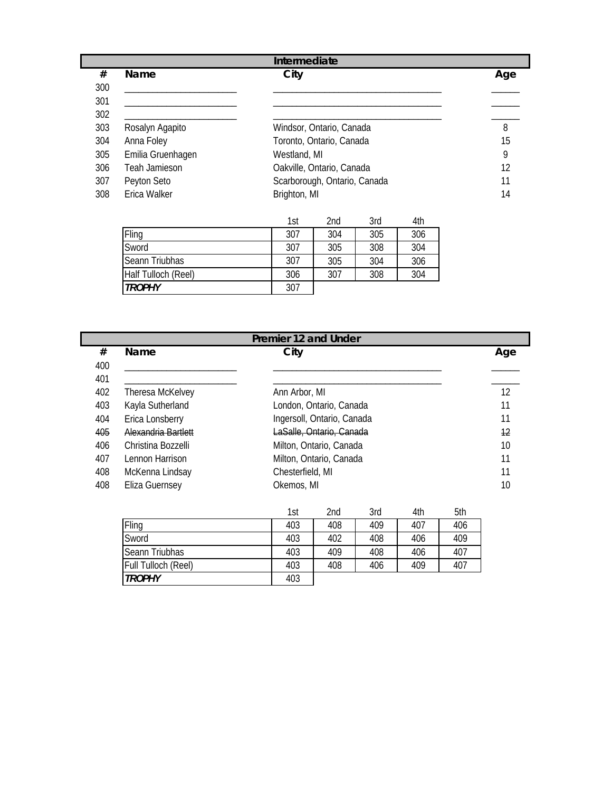|     | Intermediate      |                              |     |  |  |  |
|-----|-------------------|------------------------------|-----|--|--|--|
| #   | Name              | City                         | Age |  |  |  |
| 300 |                   |                              |     |  |  |  |
| 301 |                   |                              |     |  |  |  |
| 302 |                   |                              |     |  |  |  |
| 303 | Rosalyn Agapito   | Windsor, Ontario, Canada     | 8   |  |  |  |
| 304 | Anna Foley        | Toronto, Ontario, Canada     | 15  |  |  |  |
| 305 | Emilia Gruenhagen | Westland, MI                 | 9   |  |  |  |
| 306 | Teah Jamieson     | Oakville, Ontario, Canada    | 12  |  |  |  |
| 307 | Peyton Seto       | Scarborough, Ontario, Canada | 11  |  |  |  |
| 308 | Erica Walker      | Brighton, MI                 | 14  |  |  |  |

|                     | 1st | 2nd | 3rd | 4th |
|---------------------|-----|-----|-----|-----|
| Fling               | 307 | 304 | 305 | 306 |
| Sword               | 307 | 305 | 308 | 304 |
| Seann Triubhas      | 307 | 305 | 304 | 306 |
| Half Tulloch (Reel) | 306 | 307 | 308 | 304 |
| <b>TROPHY</b>       | 307 |     |     |     |

| Premier 12 and Under |                       |                            |                         |     |     |     |     |
|----------------------|-----------------------|----------------------------|-------------------------|-----|-----|-----|-----|
| #                    | Name                  | City                       |                         |     |     |     | Age |
| 400                  |                       |                            |                         |     |     |     |     |
| 401                  |                       |                            |                         |     |     |     |     |
| 402                  | Theresa McKelvey      | Ann Arbor, MI              |                         |     |     |     |     |
| 403                  | Kayla Sutherland      | London, Ontario, Canada    |                         |     |     |     |     |
| 404                  | Erica Lonsberry       | Ingersoll, Ontario, Canada |                         |     |     |     |     |
| 405                  | Alexandria Bartlett   | LaSalle, Ontario, Canada   |                         |     |     |     |     |
| 406                  | Christina Bozzelli    |                            | Milton, Ontario, Canada |     |     |     | 10  |
| 407                  | Lennon Harrison       |                            | Milton, Ontario, Canada |     |     |     | 11  |
| 408                  | McKenna Lindsay       | Chesterfield, MI           |                         |     |     |     | 11  |
| 408                  | <b>Eliza Guernsey</b> | Okemos, MI                 |                         |     |     |     | 10  |
|                      |                       |                            |                         |     |     |     |     |
|                      |                       | 1st                        | 2nd                     | 3rd | 4th | 5th |     |
|                      | Fling                 | 403                        | 408                     | 409 | 407 | 406 |     |
|                      | Sword                 | 403                        | 402                     | 408 | 406 | 409 |     |

|                     | 1st | 2nd | 3rd | 4th | 5th |
|---------------------|-----|-----|-----|-----|-----|
| Fling               | 403 | 408 | 409 | 407 | 406 |
| Sword               | 403 | 402 | 408 | 406 | 409 |
| Seann Triubhas      | 403 | 409 | 408 | 406 | 407 |
| Full Tulloch (Reel) | 403 | 408 | 406 | 409 | 407 |
| <b>TROPHY</b>       | 403 |     |     |     |     |